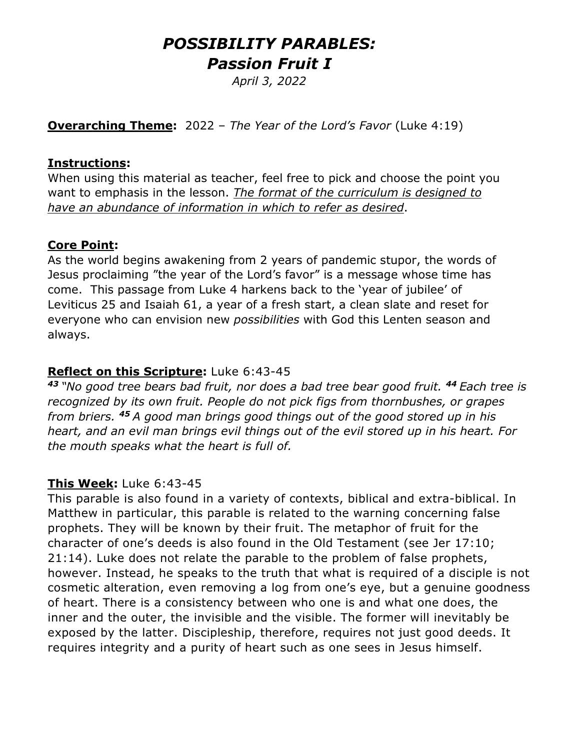# *POSSIBILITY PARABLES: Passion Fruit I*

*April 3, 2022*

**Overarching Theme:** 2022 – *The Year of the Lord's Favor* (Luke 4:19)

#### **Instructions:**

When using this material as teacher, feel free to pick and choose the point you want to emphasis in the lesson. *The format of the curriculum is designed to have an abundance of information in which to refer as desired*.

#### **Core Point:**

As the world begins awakening from 2 years of pandemic stupor, the words of Jesus proclaiming "the year of the Lord's favor" is a message whose time has come. This passage from Luke 4 harkens back to the 'year of jubilee' of Leviticus 25 and Isaiah 61, a year of a fresh start, a clean slate and reset for everyone who can envision new *possibilities* with God this Lenten season and always.

#### **Reflect on this Scripture:** Luke 6:43-45

*<sup>43</sup> "No good tree bears bad fruit, nor does a bad tree bear good fruit. <sup>44</sup> Each tree is recognized by its own fruit. People do not pick figs from thornbushes, or grapes from briers. <sup>45</sup> A good man brings good things out of the good stored up in his heart, and an evil man brings evil things out of the evil stored up in his heart. For the mouth speaks what the heart is full of.*

#### **This Week:** Luke 6:43-45

This parable is also found in a variety of contexts, biblical and extra-biblical. In Matthew in particular, this parable is related to the warning concerning false prophets. They will be known by their fruit. The metaphor of fruit for the character of one's deeds is also found in the Old Testament (see Jer 17:10; 21:14). Luke does not relate the parable to the problem of false prophets, however. Instead, he speaks to the truth that what is required of a disciple is not cosmetic alteration, even removing a log from one's eye, but a genuine goodness of heart. There is a consistency between who one is and what one does, the inner and the outer, the invisible and the visible. The former will inevitably be exposed by the latter. Discipleship, therefore, requires not just good deeds. It requires integrity and a purity of heart such as one sees in Jesus himself.